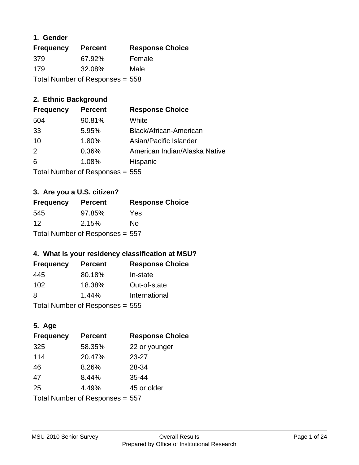### **1. Gender**

| <b>Frequency</b>                | <b>Percent</b> | <b>Response Choice</b> |
|---------------------------------|----------------|------------------------|
| 379                             | 67.92%         | Female                 |
| 179                             | 32.08%         | Male                   |
| Total Number of Responses = 558 |                |                        |

### **2. Ethnic Background**

| <b>Frequency</b> | <b>Percent</b>                  | <b>Response Choice</b>        |
|------------------|---------------------------------|-------------------------------|
| 504              | 90.81%                          | White                         |
| 33               | 5.95%                           | Black/African-American        |
| 10               | 1.80%                           | Asian/Pacific Islander        |
| 2                | 0.36%                           | American Indian/Alaska Native |
| 6                | 1.08%                           | Hispanic                      |
|                  | Total Number of Responses = 555 |                               |

### **3. Are you a U.S. citizen?**

| <b>Frequency</b>                | <b>Percent</b> | <b>Response Choice</b> |
|---------------------------------|----------------|------------------------|
| 545                             | 97.85%         | Yes                    |
| 12                              | 2.15%          | Nο                     |
| Total Number of Responses = 557 |                |                        |

### **4. What is your residency classification at MSU?**

| <b>Frequency</b>          | <b>Percent</b> | <b>Response Choice</b> |
|---------------------------|----------------|------------------------|
| 445                       | 80.18%         | In-state               |
| 102                       | 18.38%         | Out-of-state           |
| 8                         | 1.44%          | International          |
| Total Number of Deepensee |                |                        |

Total Number of Responses = 555

# **5. Age**

| <b>Frequency</b>                | <b>Percent</b> | <b>Response Choice</b> |
|---------------------------------|----------------|------------------------|
| 325                             | 58.35%         | 22 or younger          |
| 114                             | 20.47%         | $23 - 27$              |
| 46                              | 8.26%          | 28-34                  |
| 47                              | 8.44%          | 35-44                  |
| 25                              | 4.49%          | 45 or older            |
| Total Number of Responses = 557 |                |                        |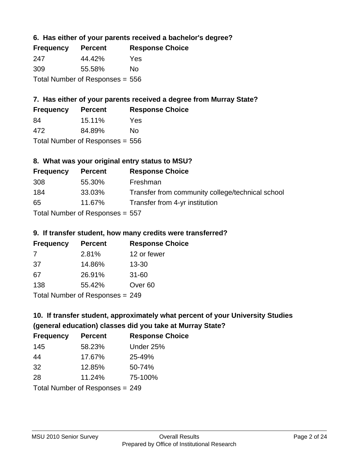### **6. Has either of your parents received a bachelor's degree?**

| <b>Frequency</b>                  | <b>Percent</b> | <b>Response Choice</b> |
|-----------------------------------|----------------|------------------------|
| 247                               | 44.42%         | Yes                    |
| 309                               | 55.58%         | Nο                     |
| Total Number of Responses $= 556$ |                |                        |

### **7. Has either of your parents received a degree from Murray State?**

| <b>Frequency</b> | <b>Percent</b> | <b>Response Choice</b> |
|------------------|----------------|------------------------|
| -84              | 15.11%         | Yes                    |
| 472              | 84.89%         | No.                    |

Total Number of Responses = 556

### **8. What was your original entry status to MSU?**

| <b>Frequency</b> | <b>Percent</b>                  | <b>Response Choice</b>                           |
|------------------|---------------------------------|--------------------------------------------------|
| 308              | 55.30%                          | Freshman                                         |
| 184              | 33.03%                          | Transfer from community college/technical school |
| 65               | 11.67%                          | Transfer from 4-yr institution                   |
|                  | Total Number of Responses = 557 |                                                  |

### **9. If transfer student, how many credits were transferred?**

| <b>Frequency</b>                | <b>Percent</b> | <b>Response Choice</b> |
|---------------------------------|----------------|------------------------|
| -7                              | 2.81%          | 12 or fewer            |
| -37                             | 14.86%         | $13 - 30$              |
| 67                              | 26.91%         | $31 - 60$              |
| 138                             | 55.42%         | Over <sub>60</sub>     |
| Total Number of Responses - 249 |                |                        |

 $T$  otal Number of Responses = 249

### **10. If transfer student, approximately what percent of your University Studies (general education) classes did you take at Murray State?**

| <b>Frequency</b> | <b>Percent</b>                  | <b>Response Choice</b> |
|------------------|---------------------------------|------------------------|
| 145              | 58.23%                          | Under 25%              |
| 44               | 17.67%                          | 25-49%                 |
| 32               | 12.85%                          | 50-74%                 |
| 28               | 11.24%                          | 75-100%                |
|                  | Total Number of Responses = 249 |                        |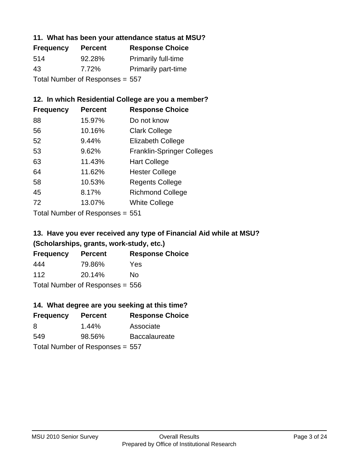#### **11. What has been your attendance status at MSU?**

| <b>Frequency</b>                | <b>Percent</b> | <b>Response Choice</b>     |
|---------------------------------|----------------|----------------------------|
| 514                             | 92.28%         | <b>Primarily full-time</b> |
| 43                              | 7.72%          | <b>Primarily part-time</b> |
| Total Number of Responses = 557 |                |                            |

### **12. In which Residential College are you a member?**

| <b>Percent</b> | <b>Response Choice</b>            |
|----------------|-----------------------------------|
| 15.97%         | Do not know                       |
| 10.16%         | <b>Clark College</b>              |
| 9.44%          | <b>Elizabeth College</b>          |
| 9.62%          | <b>Franklin-Springer Colleges</b> |
| 11.43%         | <b>Hart College</b>               |
| 11.62%         | <b>Hester College</b>             |
| 10.53%         | <b>Regents College</b>            |
| 8.17%          | <b>Richmond College</b>           |
| 13.07%         | <b>White College</b>              |
|                |                                   |

Total Number of Responses = 551

### **13. Have you ever received any type of Financial Aid while at MSU? (Scholarships, grants, work-study, etc.)**

| <b>Frequency</b>                | <b>Percent</b> | <b>Response Choice</b> |
|---------------------------------|----------------|------------------------|
| 444                             | 79.86%         | Yes                    |
| 112                             | 20.14%         | Nο                     |
| Total Number of Responses = 556 |                |                        |

### **14. What degree are you seeking at this time?**

| <b>Frequency</b> | <b>Percent</b>                  | <b>Response Choice</b> |
|------------------|---------------------------------|------------------------|
| 8                | $1.44\%$                        | Associate              |
| 549              | 98.56%                          | <b>Baccalaureate</b>   |
|                  | Total Number of Responses = 557 |                        |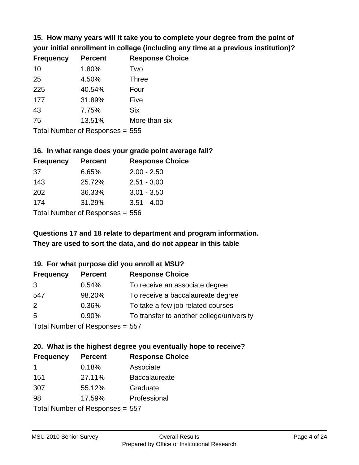**15. How many years will it take you to complete your degree from the point of your initial enrollment in college (including any time at a previous institution)?**

| <b>Frequency</b> | <b>Percent</b> | <b>Response Choice</b> |
|------------------|----------------|------------------------|
| 10               | 1.80%          | Two                    |
| 25               | 4.50%          | <b>Three</b>           |
| 225              | 40.54%         | Four                   |
| 177              | 31.89%         | Five                   |
| 43               | 7.75%          | <b>Six</b>             |
| 75               | 13.51%         | More than six          |
|                  |                |                        |

Total Number of Responses = 555

#### **16. In what range does your grade point average fall?**

| <b>Frequency</b> | <b>Percent</b>                 | <b>Response Choice</b> |
|------------------|--------------------------------|------------------------|
| -37              | 6.65%                          | $2.00 - 2.50$          |
| 143              | 25.72%                         | $2.51 - 3.00$          |
| 202              | 36.33%                         | $3.01 - 3.50$          |
| 174              | 31.29%                         | $3.51 - 4.00$          |
|                  | Tatal Mussale and Davis and an |                        |

Total Number of Responses = 556

### **They are used to sort the data, and do not appear in this table Questions 17 and 18 relate to department and program information.**

#### **19. For what purpose did you enroll at MSU?**

| <b>Frequency</b>                | <b>Percent</b> | <b>Response Choice</b>                    |
|---------------------------------|----------------|-------------------------------------------|
| 3                               | 0.54%          | To receive an associate degree            |
| 547                             | 98.20%         | To receive a baccalaureate degree         |
| 2                               | 0.36%          | To take a few job related courses         |
| 5                               | 0.90%          | To transfer to another college/university |
| Total Number of Responses = 557 |                |                                           |

#### **20. What is the highest degree you eventually hope to receive? Frequency Percent Response Choice**

| <b>Frequency</b>                | <b>Percent</b> | <b>Response Und</b>  |
|---------------------------------|----------------|----------------------|
| -1                              | 0.18%          | Associate            |
| 151                             | 27.11%         | <b>Baccalaureate</b> |
| 307                             | 55.12%         | Graduate             |
| 98                              | 17.59%         | Professional         |
| Total Number of Responses = 557 |                |                      |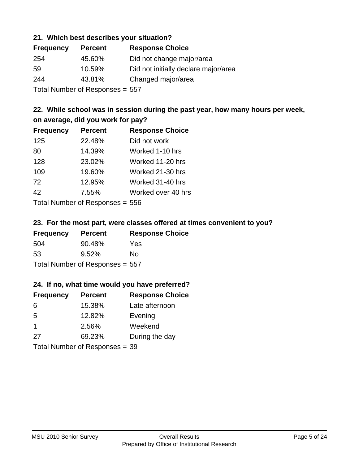#### **21. Which best describes your situation?**

| <b>Frequency</b> | <b>Percent</b>            | <b>Response Choice</b>               |
|------------------|---------------------------|--------------------------------------|
| 254              | 45.60%                    | Did not change major/area            |
| 59               | 10.59%                    | Did not initially declare major/area |
| 244              | 43.81%                    | Changed major/area                   |
|                  | Total Number of Despanses |                                      |

Total Number of Responses = 557

### **22. While school was in session during the past year, how many hours per week, on average, did you work for pay?**

| <b>Frequency</b> | <b>Percent</b> | <b>Response Choice</b> |
|------------------|----------------|------------------------|
| 125              | 22.48%         | Did not work           |
| 80               | 14.39%         | Worked 1-10 hrs        |
| 128              | 23.02%         | Worked 11-20 hrs       |
| 109              | 19.60%         | Worked 21-30 hrs       |
| 72               | 12.95%         | Worked 31-40 hrs       |
| 42               | 7.55%          | Worked over 40 hrs     |
|                  |                |                        |

Total Number of Responses = 556

#### **23. For the most part, were classes offered at times convenient to you?**

| <b>Frequency</b>                | <b>Percent</b> | <b>Response Choice</b> |
|---------------------------------|----------------|------------------------|
| 504                             | 90.48%         | Yes                    |
| -53                             | $9.52\%$       | No.                    |
| Total Number of Responses = 557 |                |                        |

#### **24. If no, what time would you have preferred?**

| <b>Frequency</b>     | <b>Percent</b>                 | <b>Response Choice</b> |
|----------------------|--------------------------------|------------------------|
| 6                    | 15.38%                         | Late afternoon         |
| 5                    | 12.82%                         | Evening                |
| $\blacktriangleleft$ | 2.56%                          | Weekend                |
| 27                   | 69.23%                         | During the day         |
|                      | Total Number of Responses = 39 |                        |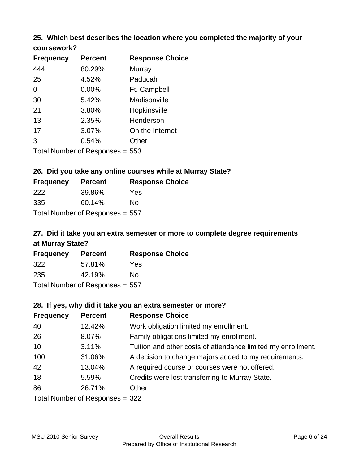# **25. Which best describes the location where you completed the majority of your**

| coursework? |  |
|-------------|--|
|-------------|--|

| <b>Frequency</b> | <b>Percent</b>                  | <b>Response Choice</b> |
|------------------|---------------------------------|------------------------|
| 444              | 80.29%                          | Murray                 |
| 25               | 4.52%                           | Paducah                |
| 0                | $0.00\%$                        | Ft. Campbell           |
| 30               | 5.42%                           | Madisonville           |
| 21               | 3.80%                           | Hopkinsville           |
| 13               | 2.35%                           | Henderson              |
| 17               | 3.07%                           | On the Internet        |
| 3                | 0.54%                           | Other                  |
|                  | Total Number of Responses = 553 |                        |

### **26. Did you take any online courses while at Murray State?**

| <b>Frequency</b>                | <b>Percent</b> | <b>Response Choice</b> |
|---------------------------------|----------------|------------------------|
| 222                             | 39.86%         | Yes                    |
| 335                             | 60.14%         | No                     |
| Total Number of Responses = 557 |                |                        |

### **27. Did it take you an extra semester or more to complete degree requirements at Murray State?**

| <b>Frequency</b>                | <b>Percent</b> | <b>Response Choice</b> |
|---------------------------------|----------------|------------------------|
| 322                             | 57.81%         | Yes                    |
| 235                             | 42.19%         | No                     |
| Total Number of Responses = 557 |                |                        |

#### **28. If yes, why did it take you an extra semester or more?**

| <b>Frequency</b> | <b>Percent</b>                  | <b>Response Choice</b>                                       |
|------------------|---------------------------------|--------------------------------------------------------------|
| 40               | 12.42%                          | Work obligation limited my enrollment.                       |
| 26               | 8.07%                           | Family obligations limited my enrollment.                    |
| 10               | 3.11%                           | Tuition and other costs of attendance limited my enrollment. |
| 100              | 31.06%                          | A decision to change majors added to my requirements.        |
| 42               | 13.04%                          | A required course or courses were not offered.               |
| 18               | 5.59%                           | Credits were lost transferring to Murray State.              |
| 86               | 26.71%                          | Other                                                        |
|                  | Total Number of Responses = 322 |                                                              |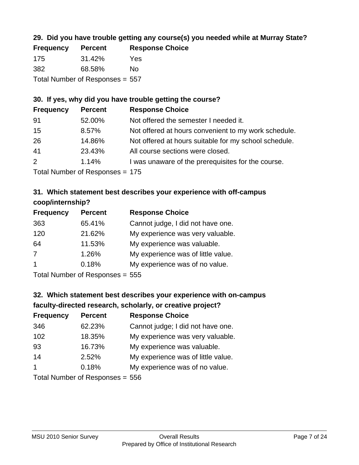### **29. Did you have trouble getting any course(s) you needed while at Murray State?**

| <b>Frequency</b>                | <b>Percent</b> | <b>Response Choice</b> |
|---------------------------------|----------------|------------------------|
| 175                             | 31.42%         | Yes                    |
| -382                            | 68.58%         | Nο                     |
| Total Number of Responses = 557 |                |                        |

### **30. If yes, why did you have trouble getting the course?**

| <b>Frequency</b> | <b>Percent</b> | <b>Response Choice</b>                                |
|------------------|----------------|-------------------------------------------------------|
| 91               | 52.00%         | Not offered the semester I needed it.                 |
| 15               | 8.57%          | Not offered at hours convenient to my work schedule.  |
| 26               | 14.86%         | Not offered at hours suitable for my school schedule. |
| 41               | 23.43%         | All course sections were closed.                      |
| 2                | 1.14%          | I was unaware of the prerequisites for the course.    |
|                  |                |                                                       |

Total Number of Responses = 175

### **31. Which statement best describes your experience with off-campus coop/internship?**

| <b>Frequency</b> | <b>Percent</b> | <b>Response Choice</b>             |
|------------------|----------------|------------------------------------|
| 363              | 65.41%         | Cannot judge, I did not have one.  |
| 120              | 21.62%         | My experience was very valuable.   |
| 64               | 11.53%         | My experience was valuable.        |
| $\overline{7}$   | 1.26%          | My experience was of little value. |
| $\overline{1}$   | 0.18%          | My experience was of no value.     |
|                  |                |                                    |

Total Number of Responses = 555

### **32. Which statement best describes your experience with on-campus faculty-directed research, scholarly, or creative project?**

| <b>Frequency</b> | <b>Percent</b> | <b>Response Choice</b>             |
|------------------|----------------|------------------------------------|
| 346              | 62.23%         | Cannot judge; I did not have one.  |
| 102              | 18.35%         | My experience was very valuable.   |
| 93               | 16.73%         | My experience was valuable.        |
| 14               | 2.52%          | My experience was of little value. |
| $\overline{1}$   | 0.18%          | My experience was of no value.     |
|                  |                |                                    |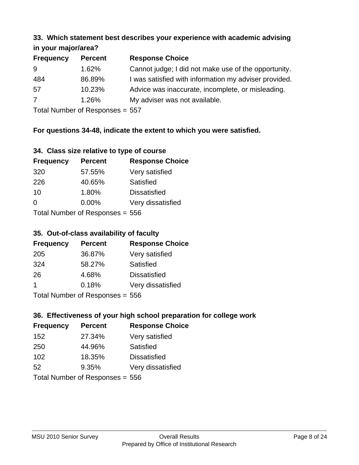#### **33. Which statement best describes your experience with academic advising in your major/area?**

|                  | $\cdots$ your mapping out |                                                       |  |
|------------------|---------------------------|-------------------------------------------------------|--|
| <b>Frequency</b> | <b>Percent</b>            | <b>Response Choice</b>                                |  |
| 9                | 1.62%                     | Cannot judge; I did not make use of the opportunity.  |  |
| 484              | 86.89%                    | I was satisfied with information my adviser provided. |  |
| 57               | 10.23%                    | Advice was inaccurate, incomplete, or misleading.     |  |
| 7                | 1.26%                     | My adviser was not available.                         |  |
|                  |                           |                                                       |  |

Total Number of Responses = 557

### **For questions 34-48, indicate the extent to which you were satisfied.**

#### **34. Class size relative to type of course**

| <b>Frequency</b>                | <b>Percent</b> | <b>Response Choice</b> |
|---------------------------------|----------------|------------------------|
| 320                             | 57.55%         | Very satisfied         |
| 226                             | 40.65%         | Satisfied              |
| 10                              | 1.80%          | <b>Dissatisfied</b>    |
| $\Omega$                        | 0.00%          | Very dissatisfied      |
| Total Number of Responses = 556 |                |                        |

#### **35. Out-of-class availability of faculty**

| <b>Frequency</b>                | <b>Percent</b> | <b>Response Choice</b> |
|---------------------------------|----------------|------------------------|
| 205                             | 36.87%         | Very satisfied         |
| 324                             | 58.27%         | Satisfied              |
| 26                              | 4.68%          | <b>Dissatisfied</b>    |
| $\mathbf 1$                     | 0.18%          | Very dissatisfied      |
| Total Number of Poenonces - 556 |                |                        |

Total Number of Responses = 556

### **36. Effectiveness of your high school preparation for college work**

| <b>Frequency</b> | <b>Percent</b>                   | <b>Response Choice</b> |
|------------------|----------------------------------|------------------------|
| 152              | 27.34%                           | Very satisfied         |
| 250              | 44.96%                           | Satisfied              |
| 102              | 18.35%                           | <b>Dissatisfied</b>    |
| 52               | 9.35%                            | Very dissatisfied      |
|                  | Total Number of Responses $-556$ |                        |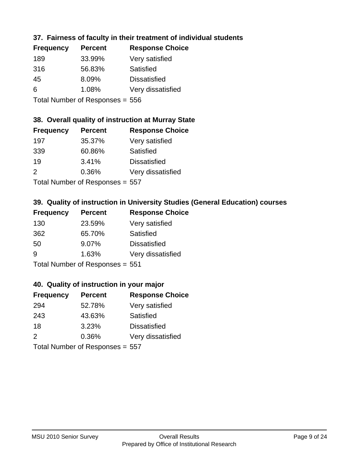### **37. Fairness of faculty in their treatment of individual students**

| <b>Frequency</b> | <b>Percent</b> | <b>Response Choice</b> |
|------------------|----------------|------------------------|
| 189              | 33.99%         | Very satisfied         |
| 316              | 56.83%         | Satisfied              |
| 45               | 8.09%          | <b>Dissatisfied</b>    |
| 6                | 1.08%          | Very dissatisfied      |
|                  |                |                        |

Total Number of Responses = 556

### **38. Overall quality of instruction at Murray State**

| <b>Frequency</b> | <b>Percent</b>            | <b>Response Choice</b> |
|------------------|---------------------------|------------------------|
| 197              | 35.37%                    | Very satisfied         |
| 339              | 60.86%                    | Satisfied              |
| 19               | 3.41%                     | <b>Dissatisfied</b>    |
| $\mathcal{P}$    | 0.36%                     | Very dissatisfied      |
|                  | Total Number of Desponses |                        |

Total Number of Responses = 557

### **39. Quality of instruction in University Studies (General Education) courses**

| <b>Frequency</b> | <b>Percent</b>                  | <b>Response Choice</b> |
|------------------|---------------------------------|------------------------|
| 130              | 23.59%                          | Very satisfied         |
| 362              | 65.70%                          | Satisfied              |
| 50               | 9.07%                           | <b>Dissatisfied</b>    |
| 9                | 1.63%                           | Very dissatisfied      |
|                  | Total Number of Responses = 551 |                        |

#### **40. Quality of instruction in your major**

| <b>Frequency</b>                | <b>Percent</b> | <b>Response Choice</b> |
|---------------------------------|----------------|------------------------|
| 294                             | 52.78%         | Very satisfied         |
| 243                             | 43.63%         | Satisfied              |
| 18                              | 3.23%          | <b>Dissatisfied</b>    |
| $\mathcal{P}$                   | 0.36%          | Very dissatisfied      |
| Total Number of Responses = 557 |                |                        |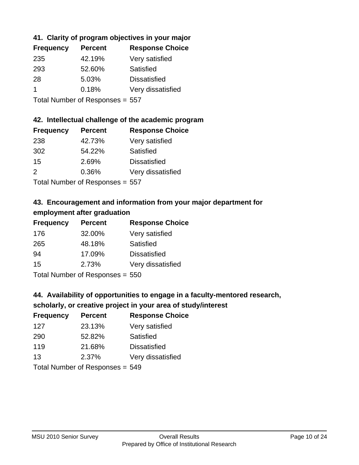### **41. Clarity of program objectives in your major**

| <b>Frequency</b> | <b>Percent</b> | <b>Response Choice</b> |
|------------------|----------------|------------------------|
| 235              | 42.19%         | Very satisfied         |
| 293              | 52.60%         | Satisfied              |
| 28               | 5.03%          | <b>Dissatisfied</b>    |
|                  | 0.18%          | Very dissatisfied      |
|                  |                |                        |

Total Number of Responses = 557

#### **42. Intellectual challenge of the academic program**

| <b>Frequency</b> | <b>Percent</b> | <b>Response Choice</b> |
|------------------|----------------|------------------------|
| 238              | 42.73%         | Very satisfied         |
| 302              | 54.22%         | Satisfied              |
| 15               | 2.69%          | <b>Dissatisfied</b>    |
| $\mathcal{P}$    | 0.36%          | Very dissatisfied      |
|                  |                |                        |

Total Number of Responses = 557

### **43. Encouragement and information from your major department for employment after graduation**

| <b>Frequency</b> | <b>Percent</b>               | <b>Response Choice</b> |
|------------------|------------------------------|------------------------|
| 176              | 32.00%                       | Very satisfied         |
| 265              | 48.18%                       | Satisfied              |
| 94               | 17.09%                       | <b>Dissatisfied</b>    |
| 15               | 2.73%                        | Very dissatisfied      |
|                  | $T$ and Number of Decomposed |                        |

Total Number of Responses = 550

### **44. Availability of opportunities to engage in a faculty-mentored research,**

### **scholarly, or creative project in your area of study/interest**

| <b>Frequency</b> | <b>Percent</b> | <b>Response Choice</b> |
|------------------|----------------|------------------------|
| 127              | 23.13%         | Very satisfied         |
| 290              | 52.82%         | Satisfied              |
| 119              | 21.68%         | <b>Dissatisfied</b>    |
| 13               | 2.37%          | Very dissatisfied      |
|                  |                |                        |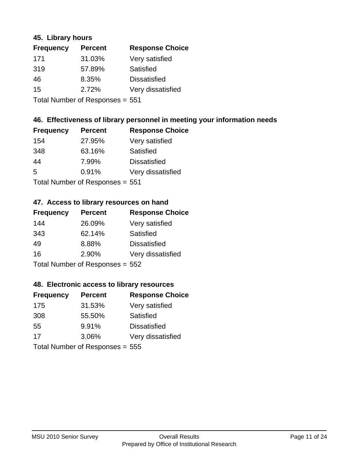#### **45. Library hours**

| <b>Frequency</b> | <b>Percent</b>                                                                   | <b>Response Choice</b> |
|------------------|----------------------------------------------------------------------------------|------------------------|
| 171              | 31.03%                                                                           | Very satisfied         |
| 319              | 57.89%                                                                           | Satisfied              |
| 46               | 8.35%                                                                            | <b>Dissatisfied</b>    |
| 15               | 2.72%                                                                            | Very dissatisfied      |
|                  | $\mathbf{T}$ and $\mathbf{M}$ and $\mathbf{M}$ and $\mathbf{M}$ and $\mathbf{M}$ |                        |

Total Number of Responses = 551

#### **46. Effectiveness of library personnel in meeting your information needs**

| <b>Frequency</b> | <b>Percent</b>                           | <b>Response Choice</b> |
|------------------|------------------------------------------|------------------------|
| 154              | 27.95%                                   | Very satisfied         |
| 348              | 63.16%                                   | Satisfied              |
| 44               | 7.99%                                    | <b>Dissatisfied</b>    |
| 5                | 0.91%                                    | Very dissatisfied      |
|                  | $T$ at all Message and $D$ are a serious |                        |

Total Number of Responses = 551

### **47. Access to library resources on hand**

| <b>Frequency</b>                | <b>Percent</b> | <b>Response Choice</b> |
|---------------------------------|----------------|------------------------|
| 144                             | 26.09%         | Very satisfied         |
| 343                             | 62.14%         | Satisfied              |
| 49                              | 8.88%          | <b>Dissatisfied</b>    |
| 16                              | 2.90%          | Very dissatisfied      |
| Total Number of Responses = 552 |                |                        |

#### **48. Electronic access to library resources**

| <b>Frequency</b>                | <b>Percent</b> | <b>Response Choice</b> |
|---------------------------------|----------------|------------------------|
| 175                             | 31.53%         | Very satisfied         |
| 308                             | 55.50%         | Satisfied              |
| 55                              | 9.91%          | <b>Dissatisfied</b>    |
| 17                              | 3.06%          | Very dissatisfied      |
| Total Number of Responses = 555 |                |                        |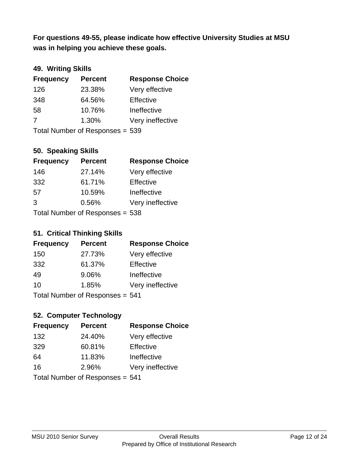**was in helping you achieve these goals. For questions 49-55, please indicate how effective University Studies at MSU** 

### **49. Writing Skills**

| <b>Frequency</b>                | <b>Percent</b> | <b>Response Choice</b> |
|---------------------------------|----------------|------------------------|
| 126                             | 23.38%         | Very effective         |
| 348                             | 64.56%         | Effective              |
| 58                              | 10.76%         | Ineffective            |
| 7                               | 1.30%          | Very ineffective       |
| Total Number of Responses = 539 |                |                        |

#### **50. Speaking Skills**

| <b>Frequency</b>                | <b>Percent</b> | <b>Response Choice</b> |
|---------------------------------|----------------|------------------------|
| 146                             | 27.14%         | Very effective         |
| 332                             | 61.71%         | Effective              |
| 57                              | 10.59%         | Ineffective            |
| 3                               | 0.56%          | Very ineffective       |
| Total Number of Responses = 538 |                |                        |

#### **51. Critical Thinking Skills**

| <b>Frequency</b> | <b>Percent</b>                  | <b>Response Choice</b> |
|------------------|---------------------------------|------------------------|
| 150              | 27.73%                          | Very effective         |
| 332              | 61.37%                          | Effective              |
| 49               | 9.06%                           | Ineffective            |
| 10               | 1.85%                           | Very ineffective       |
|                  | Total Number of Responses = 541 |                        |

### **52. Computer Technology**

| <b>Frequency</b>                | <b>Percent</b> | <b>Response Choice</b> |
|---------------------------------|----------------|------------------------|
| 132                             | 24.40%         | Very effective         |
| 329                             | 60.81%         | Effective              |
| 64                              | 11.83%         | Ineffective            |
| 16                              | 2.96%          | Very ineffective       |
| Total Number of Responses = 541 |                |                        |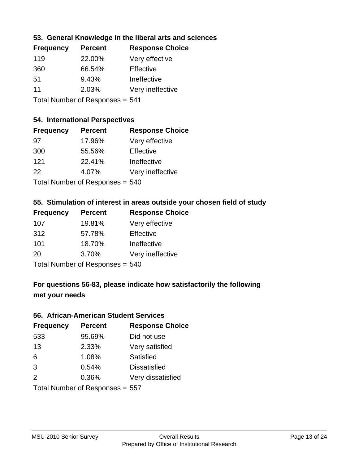### **53. General Knowledge in the liberal arts and sciences**

| <b>Frequency</b> | <b>Percent</b>              | <b>Response Choice</b> |
|------------------|-----------------------------|------------------------|
| 119              | 22.00%                      | Very effective         |
| 360              | 66.54%                      | Effective              |
| .51              | 9.43%                       | Ineffective            |
| 11               | 2.03%                       | Very ineffective       |
|                  | Tatal Massakan af Dagmannar |                        |

Total Number of Responses = 541

#### **54. International Perspectives**

| <b>Frequency</b>                | <b>Percent</b> | <b>Response Choice</b> |
|---------------------------------|----------------|------------------------|
| .97                             | 17.96%         | Very effective         |
| 300                             | 55.56%         | Effective              |
| 121                             | 22.41%         | Ineffective            |
| 22                              | 4.07%          | Very ineffective       |
| Total Number of Responses = 540 |                |                        |

#### **55. Stimulation of interest in areas outside your chosen field of study**

| <b>Frequency</b>                | <b>Percent</b> | <b>Response Choice</b> |
|---------------------------------|----------------|------------------------|
| 107                             | 19.81%         | Very effective         |
| 312                             | 57.78%         | Effective              |
| 101                             | 18.70%         | Ineffective            |
| 20                              | 3.70%          | Very ineffective       |
| Total Number of Responses = 540 |                |                        |

### **For questions 56-83, please indicate how satisfactorily the following met your needs**

#### **56. African-American Student Services**

| <b>Frequency</b> | <b>Percent</b>                  | <b>Response Choice</b> |
|------------------|---------------------------------|------------------------|
| 533              | 95.69%                          | Did not use            |
| 13               | 2.33%                           | Very satisfied         |
| 6                | 1.08%                           | Satisfied              |
| 3                | 0.54%                           | <b>Dissatisfied</b>    |
| 2                | 0.36%                           | Very dissatisfied      |
|                  | Total Number of Responses = 557 |                        |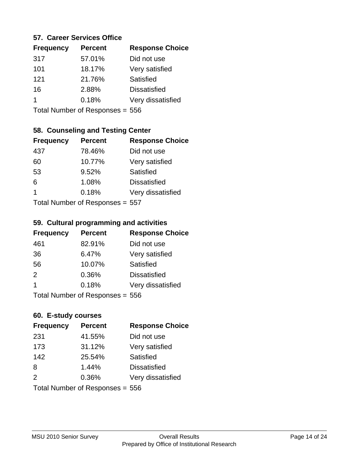#### **57. Career Services Office**

| <b>Frequency</b> | <b>Percent</b> | <b>Response Choice</b> |
|------------------|----------------|------------------------|
| 317              | 57.01%         | Did not use            |
| 101              | 18.17%         | Very satisfied         |
| 121              | 21.76%         | Satisfied              |
| 16               | 2.88%          | <b>Dissatisfied</b>    |
|                  | 0.18%          | Very dissatisfied      |
|                  |                |                        |

Total Number of Responses = 556

### **58. Counseling and Testing Center**

| <b>Frequency</b>           | <b>Percent</b> | <b>Response Choice</b> |
|----------------------------|----------------|------------------------|
| 437                        | 78.46%         | Did not use            |
| 60                         | 10.77%         | Very satisfied         |
| 53                         | 9.52%          | Satisfied              |
| 6                          | 1.08%          | <b>Dissatisfied</b>    |
| 1                          | 0.18%          | Very dissatisfied      |
| Total Number of Deepersoon |                |                        |

Total Number of Responses = 557

#### **59. Cultural programming and activities**

| <b>Frequency</b>                | <b>Percent</b> | <b>Response Choice</b> |
|---------------------------------|----------------|------------------------|
| 461                             | 82.91%         | Did not use            |
| 36                              | 6.47%          | Very satisfied         |
| 56                              | 10.07%         | Satisfied              |
| 2                               | 0.36%          | <b>Dissatisfied</b>    |
| $\overline{\mathbf{1}}$         | 0.18%          | Very dissatisfied      |
| Total Number of Responses = 556 |                |                        |

### **60. E-study courses**

| <b>Frequency</b>                | <b>Percent</b> | <b>Response Choice</b> |
|---------------------------------|----------------|------------------------|
| 231                             | 41.55%         | Did not use            |
| 173                             | 31.12%         | Very satisfied         |
| 142                             | 25.54%         | Satisfied              |
| 8                               | 1.44%          | <b>Dissatisfied</b>    |
| 2                               | 0.36%          | Very dissatisfied      |
| Total Number of Responses = 556 |                |                        |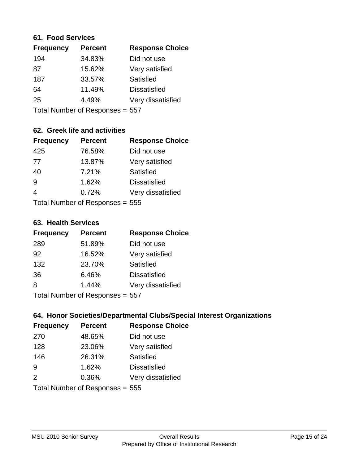#### **61. Food Services**

| <b>Frequency</b> | <b>Percent</b> | <b>Response Choice</b> |
|------------------|----------------|------------------------|
| 194              | 34.83%         | Did not use            |
| 87               | 15.62%         | Very satisfied         |
| 187              | 33.57%         | Satisfied              |
| 64               | 11.49%         | <b>Dissatisfied</b>    |
| 25               | 4.49%          | Very dissatisfied      |
|                  |                |                        |

Total Number of Responses = 557

### **62. Greek life and activities**

| <b>Frequency</b> | <b>Percent</b>                  | <b>Response Choice</b> |
|------------------|---------------------------------|------------------------|
| 425              | 76.58%                          | Did not use            |
| 77               | 13.87%                          | Very satisfied         |
| 40               | 7.21%                           | Satisfied              |
| 9                | 1.62%                           | <b>Dissatisfied</b>    |
| $\boldsymbol{4}$ | 0.72%                           | Very dissatisfied      |
|                  | Total Number of Responses = 555 |                        |

#### **63. Health Services**

| <b>Frequency</b> | <b>Percent</b> | <b>Response Choice</b> |
|------------------|----------------|------------------------|
| 289              | 51.89%         | Did not use            |
| 92               | 16.52%         | Very satisfied         |
| 132              | 23.70%         | <b>Satisfied</b>       |
| 36               | 6.46%          | <b>Dissatisfied</b>    |
| 8                | 1.44%          | Very dissatisfied      |
|                  |                |                        |

Total Number of Responses = 557

### **64. Honor Societies/Departmental Clubs/Special Interest Organizations**

| <b>Frequency</b> | <b>Percent</b>                  | <b>Response Choice</b> |
|------------------|---------------------------------|------------------------|
| 270              | 48.65%                          | Did not use            |
| 128              | 23.06%                          | Very satisfied         |
| 146              | 26.31%                          | <b>Satisfied</b>       |
| 9                | 1.62%                           | <b>Dissatisfied</b>    |
| 2                | 0.36%                           | Very dissatisfied      |
|                  | Total Number of Responses = 555 |                        |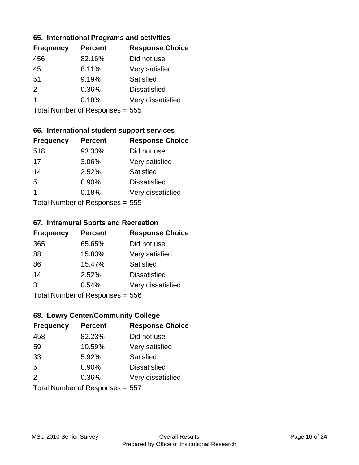#### **65. International Programs and activities**

| <b>Frequency</b> | <b>Percent</b> | <b>Response Choice</b> |
|------------------|----------------|------------------------|
| 456              | 82.16%         | Did not use            |
| 45               | 8.11%          | Very satisfied         |
| 51               | 9.19%          | Satisfied              |
| $\mathcal{P}$    | 0.36%          | <b>Dissatisfied</b>    |
|                  | 0.18%          | Very dissatisfied      |
|                  |                |                        |

Total Number of Responses = 555

### **66. International student support services**

| <b>Frequency</b>          | <b>Percent</b> | <b>Response Choice</b> |
|---------------------------|----------------|------------------------|
| 518                       | 93.33%         | Did not use            |
| 17                        | 3.06%          | Very satisfied         |
| 14                        | 2.52%          | <b>Satisfied</b>       |
| 5                         | 0.90%          | <b>Dissatisfied</b>    |
| 1                         | 0.18%          | Very dissatisfied      |
| Total Number of Desponses |                |                        |

Total Number of Responses = 555

#### **67. Intramural Sports and Recreation**

| <b>Frequency</b> | <b>Percent</b>            | <b>Response Choice</b> |
|------------------|---------------------------|------------------------|
| 365              | 65.65%                    | Did not use            |
| 88               | 15.83%                    | Very satisfied         |
| 86               | 15.47%                    | Satisfied              |
| 14               | 2.52%                     | <b>Dissatisfied</b>    |
| 3                | 0.54%                     | Very dissatisfied      |
|                  | Total Number of Desponses |                        |

Total Number of Responses = 556

### **68. Lowry Center/Community College**

| <b>Frequency</b>                | <b>Percent</b> | <b>Response Choice</b> |
|---------------------------------|----------------|------------------------|
| 458                             | 82.23%         | Did not use            |
| 59                              | 10.59%         | Very satisfied         |
| 33                              | 5.92%          | Satisfied              |
| 5                               | 0.90%          | <b>Dissatisfied</b>    |
| 2                               | 0.36%          | Very dissatisfied      |
| Total Number of Responses = 557 |                |                        |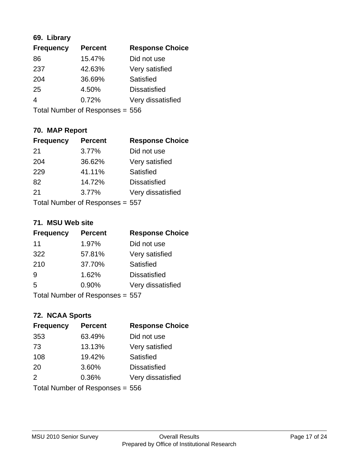### **69. Library**

| <b>Frequency</b> | <b>Percent</b> | <b>Response Choice</b> |
|------------------|----------------|------------------------|
| 86               | 15.47%         | Did not use            |
| 237              | 42.63%         | Very satisfied         |
| 204              | 36.69%         | Satisfied              |
| 25               | 4.50%          | <b>Dissatisfied</b>    |
| 4                | 0.72%          | Very dissatisfied      |
|                  |                |                        |

Total Number of Responses = 556

### **70. MAP Report**

| <b>Frequency</b> | <b>Percent</b>                  | <b>Response Choice</b> |
|------------------|---------------------------------|------------------------|
| -21              | 3.77%                           | Did not use            |
| 204              | 36.62%                          | Very satisfied         |
| 229              | 41.11%                          | Satisfied              |
| 82               | 14.72%                          | <b>Dissatisfied</b>    |
| 21               | 3.77%                           | Very dissatisfied      |
|                  | Total Number of Responses = 557 |                        |

#### **71. MSU Web site**

| <b>Frequency</b> | <b>Percent</b>                  | <b>Response Choice</b> |
|------------------|---------------------------------|------------------------|
| 11               | 1.97%                           | Did not use            |
| 322              | 57.81%                          | Very satisfied         |
| 210              | 37.70%                          | Satisfied              |
| 9                | 1.62%                           | <b>Dissatisfied</b>    |
| 5                | 0.90%                           | Very dissatisfied      |
|                  | Total Number of Responses = 557 |                        |

# **72. NCAA Sports**

| <b>Frequency</b>                | <b>Percent</b> | <b>Response Choice</b> |
|---------------------------------|----------------|------------------------|
| 353                             | 63.49%         | Did not use            |
| 73                              | 13.13%         | Very satisfied         |
| 108                             | 19.42%         | Satisfied              |
| 20                              | 3.60%          | <b>Dissatisfied</b>    |
| 2                               | 0.36%          | Very dissatisfied      |
| Total Number of Responses = 556 |                |                        |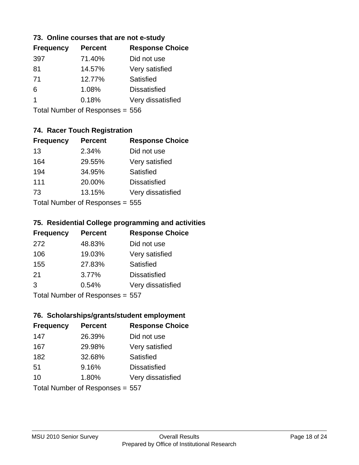#### **73. Online courses that are not e-study**

| <b>Frequency</b> | <b>Percent</b> | <b>Response Choice</b> |
|------------------|----------------|------------------------|
| 397              | 71.40%         | Did not use            |
| 81               | 14.57%         | Very satisfied         |
| -71              | 12.77%         | Satisfied              |
| 6                | 1.08%          | <b>Dissatisfied</b>    |
|                  | 0.18%          | Very dissatisfied      |
|                  |                |                        |

Total Number of Responses = 556

### **74. Racer Touch Registration**

| <b>Frequency</b> | <b>Percent</b>               | <b>Response Choice</b> |
|------------------|------------------------------|------------------------|
| 13               | 2.34%                        | Did not use            |
| 164              | 29.55%                       | Very satisfied         |
| 194              | 34.95%                       | Satisfied              |
| 111              | 20.00%                       | <b>Dissatisfied</b>    |
| 73               | 13.15%                       | Very dissatisfied      |
|                  | $Total Number of Denonese -$ |                        |

Total Number of Responses = 555

### **75. Residential College programming and activities**

| <b>Frequency</b>           | <b>Percent</b> | <b>Response Choice</b> |  |
|----------------------------|----------------|------------------------|--|
| 272                        | 48.83%         | Did not use            |  |
| 106                        | 19.03%         | Very satisfied         |  |
| 155                        | 27.83%         | Satisfied              |  |
| 21                         | 3.77%          | <b>Dissatisfied</b>    |  |
| 3                          | 0.54%          | Very dissatisfied      |  |
| Tetal Number of Desperance |                |                        |  |

Total Number of Responses = 557

### **76. Scholarships/grants/student employment**

| <b>Frequency</b> | <b>Percent</b>                  | <b>Response Choice</b> |
|------------------|---------------------------------|------------------------|
| 147              | 26.39%                          | Did not use            |
| 167              | 29.98%                          | Very satisfied         |
| 182              | 32.68%                          | <b>Satisfied</b>       |
| 51               | 9.16%                           | <b>Dissatisfied</b>    |
| 10               | 1.80%                           | Very dissatisfied      |
|                  | Total Number of Responses = 557 |                        |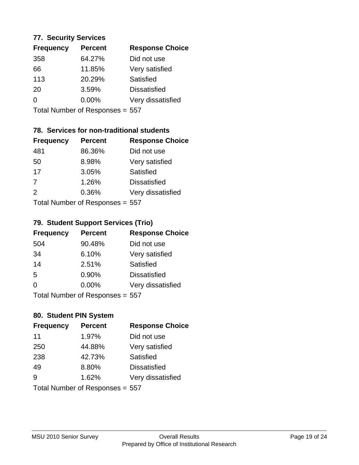#### **77. Security Services**

| <b>Frequency</b> | <b>Percent</b> | <b>Response Choice</b> |
|------------------|----------------|------------------------|
| 358              | 64.27%         | Did not use            |
| 66               | 11.85%         | Very satisfied         |
| 113              | 20.29%         | Satisfied              |
| 20               | 3.59%          | <b>Dissatisfied</b>    |
| ∩                | $0.00\%$       | Very dissatisfied      |
|                  |                |                        |

Total Number of Responses = 557

### **78. Services for non-traditional students**

| <b>Frequency</b> | <b>Percent</b>            | <b>Response Choice</b> |
|------------------|---------------------------|------------------------|
| 481              | 86.36%                    | Did not use            |
| 50               | 8.98%                     | Very satisfied         |
| 17               | 3.05%                     | <b>Satisfied</b>       |
| 7                | 1.26%                     | <b>Dissatisfied</b>    |
| $\mathcal{P}$    | 0.36%                     | Very dissatisfied      |
|                  | Total Number of Desponses |                        |

Total Number of Responses = 557

### **79. Student Support Services (Trio)**

| <b>Frequency</b>             | <b>Percent</b> | <b>Response Choice</b> |
|------------------------------|----------------|------------------------|
| 504                          | 90.48%         | Did not use            |
| 34                           | 6.10%          | Very satisfied         |
| 14                           | 2.51%          | Satisfied              |
| 5                            | 0.90%          | <b>Dissatisfied</b>    |
| $\Omega$                     | 0.00%          | Very dissatisfied      |
| Total Number of Decononces - |                |                        |

Total Number of Responses = 557

### **80. Student PIN System**

| <b>Frequency</b> | <b>Percent</b>                  | <b>Response Choice</b> |
|------------------|---------------------------------|------------------------|
| 11               | 1.97%                           | Did not use            |
| 250              | 44.88%                          | Very satisfied         |
| 238              | 42.73%                          | Satisfied              |
| 49               | 8.80%                           | <b>Dissatisfied</b>    |
| 9                | 1.62%                           | Very dissatisfied      |
|                  | Total Number of Responses = 557 |                        |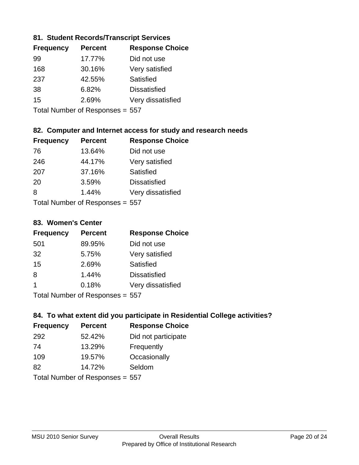### **81. Student Records/Transcript Services**

| <b>Frequency</b> | <b>Percent</b> | <b>Response Choice</b> |
|------------------|----------------|------------------------|
| 99               | 17.77%         | Did not use            |
| 168              | 30.16%         | Very satisfied         |
| 237              | 42.55%         | Satisfied              |
| 38               | 6.82%          | <b>Dissatisfied</b>    |
| 15               | 2.69%          | Very dissatisfied      |
|                  |                |                        |

Total Number of Responses = 557

### **82. Computer and Internet access for study and research needs**

| <b>Frequency</b>           | <b>Percent</b> | <b>Response Choice</b> |
|----------------------------|----------------|------------------------|
| 76                         | 13.64%         | Did not use            |
| 246                        | 44.17%         | Very satisfied         |
| 207                        | 37.16%         | Satisfied              |
| 20                         | 3.59%          | <b>Dissatisfied</b>    |
| 8                          | 1.44%          | Very dissatisfied      |
| Tetal Number of Desperance |                |                        |

Total Number of Responses = 557

#### **83. Women's Center**

| <b>Frequency</b> | <b>Percent</b>               | <b>Response Choice</b> |
|------------------|------------------------------|------------------------|
| 501              | 89.95%                       | Did not use            |
| 32               | 5.75%                        | Very satisfied         |
| 15               | 2.69%                        | Satisfied              |
| 8                | 1.44%                        | <b>Dissatisfied</b>    |
| 1                | 0.18%                        | Very dissatisfied      |
|                  | Tetal Niveshow of Decognoses |                        |

Total Number of Responses = 557

### **84. To what extent did you participate in Residential College activities?**

| <b>Frequency</b> | <b>Percent</b>            | <b>Response Choice</b> |
|------------------|---------------------------|------------------------|
| 292              | 52.42%                    | Did not participate    |
| 74               | 13.29%                    | Frequently             |
| 109              | 19.57%                    | Occasionally           |
| 82               | 14.72%                    | Seldom                 |
|                  | Total Number of Despanses |                        |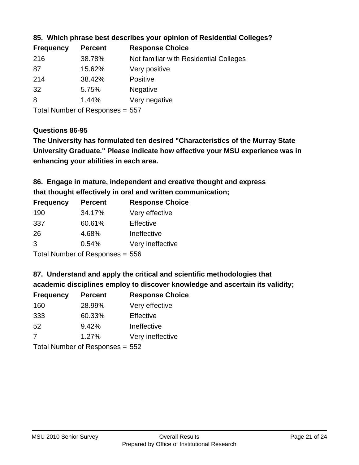| <b>Frequency</b> | <b>Percent</b> | <b>Response Choice</b>                 |
|------------------|----------------|----------------------------------------|
| 216              | 38.78%         | Not familiar with Residential Colleges |
| -87              | 15.62%         | Very positive                          |
| 214              | 38.42%         | <b>Positive</b>                        |
| 32               | 5.75%          | <b>Negative</b>                        |
| 8                | 1.44%          | Very negative                          |
|                  |                |                                        |

#### **85. Which phrase best describes your opinion of Residential Colleges?**

Total Number of Responses = 557

#### **Questions 86-95**

**University Graduate." Please indicate how effective your MSU experience was in The University has formulated ten desired "Characteristics of the Murray State enhancing your abilities in each area.**

### **86. Engage in mature, independent and creative thought and express that thought effectively in oral and written communication;**

| <b>Frequency</b> | <b>Percent</b> | <b>Response Choice</b> |
|------------------|----------------|------------------------|
| 190              | 34.17%         | Very effective         |
| 337              | 60.61%         | Effective              |
| 26               | 4.68%          | Ineffective            |
| 3                | 0.54%          | Very ineffective       |
|                  |                |                        |

Total Number of Responses = 556

#### **87. Understand and apply the critical and scientific methodologies that**

**academic disciplines employ to discover knowledge and ascertain its validity;**

| <b>Frequency</b>           | <b>Percent</b> | <b>Response Choice</b> |
|----------------------------|----------------|------------------------|
| 160                        | 28.99%         | Very effective         |
| 333                        | 60.33%         | Effective              |
| 52                         | 9.42%          | Ineffective            |
| 7                          | 1.27%          | Very ineffective       |
| Total Number of Desperance |                |                        |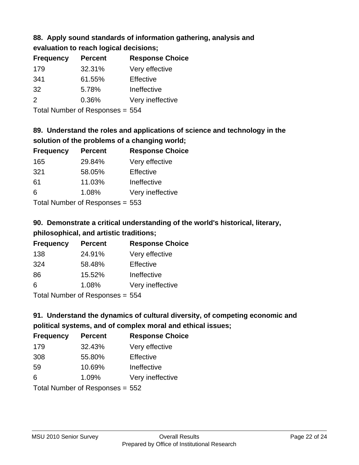# **88. Apply sound standards of information gathering, analysis and**

| evaluation to reach logical decisions; |  |
|----------------------------------------|--|
|----------------------------------------|--|

| <b>Frequency</b> | <b>Percent</b> | <b>Response Choice</b> |
|------------------|----------------|------------------------|
| 179              | 32.31%         | Very effective         |
| 341              | 61.55%         | Effective              |
| 32               | 5.78%          | Ineffective            |
| 2                | 0.36%          | Very ineffective       |
|                  |                |                        |

Total Number of Responses = 554

# **89. Understand the roles and applications of science and technology in the solution of the problems of a changing world;**

| <b>Frequency</b>                                                                                                                 | <b>Percent</b> | <b>Response Choice</b> |
|----------------------------------------------------------------------------------------------------------------------------------|----------------|------------------------|
| 165                                                                                                                              | 29.84%         | Very effective         |
| 321                                                                                                                              | 58.05%         | Effective              |
| 61                                                                                                                               | 11.03%         | Ineffective            |
| 6                                                                                                                                | 1.08%          | Very ineffective       |
| $\tau$ . $\tau$ . In the set of $\tau$ , $\tau$ , $\tau$ , $\tau$ , $\tau$ , $\tau$ , $\tau$ , $\tau$ , $\tau$ , $\tau$ , $\tau$ |                |                        |

Total Number of Responses = 553

# **90. Demonstrate a critical understanding of the world's historical, literary, philosophical, and artistic traditions;**

| <b>Frequency</b> | <b>Percent</b> | <b>Response Choice</b> |
|------------------|----------------|------------------------|
| 138              | 24.91%         | Very effective         |
| 324              | 58.48%         | Effective              |
| 86               | 15.52%         | Ineffective            |
| 6                | 1.08%          | Very ineffective       |
|                  |                |                        |

Total Number of Responses = 554

# **91. Understand the dynamics of cultural diversity, of competing economic and political systems, and of complex moral and ethical issues;**

| <b>Frequency</b> | <b>Percent</b>                  | <b>Response Choice</b> |
|------------------|---------------------------------|------------------------|
| 179              | 32.43%                          | Very effective         |
| 308              | 55.80%                          | Effective              |
| 59               | 10.69%                          | Ineffective            |
| 6                | 1.09%                           | Very ineffective       |
|                  | Total Number of Responses = 552 |                        |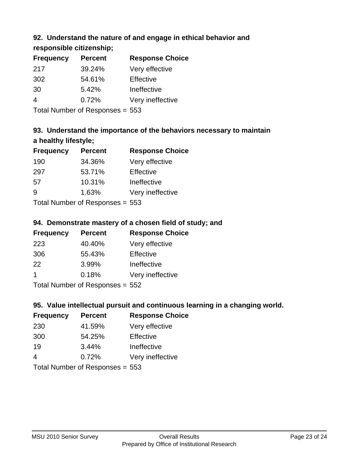### **92. Understand the nature of and engage in ethical behavior and**

**responsible citizenship;**

| <b>Frequency</b> | <b>Percent</b> | <b>Response Choice</b> |
|------------------|----------------|------------------------|
| 217              | 39.24%         | Very effective         |
| 302              | 54.61%         | Effective              |
| 30               | 5.42%          | Ineffective            |
|                  | 0.72%          | Very ineffective       |
|                  |                |                        |

Total Number of Responses = 553

# **93. Understand the importance of the behaviors necessary to maintain a healthy lifestyle;**

| <b>Frequency</b>                | <b>Percent</b> | <b>Response Choice</b> |
|---------------------------------|----------------|------------------------|
| 190                             | 34.36%         | Very effective         |
| 297                             | 53.71%         | Effective              |
| 57                              | 10.31%         | Ineffective            |
| g                               | 1.63%          | Very ineffective       |
| Total Number of Responses = 553 |                |                        |

### **94. Demonstrate mastery of a chosen field of study; and**

| <b>Frequency</b> | <b>Percent</b> | <b>Response Choice</b> |
|------------------|----------------|------------------------|
| 223              | 40.40%         | Very effective         |
| 306              | 55.43%         | Effective              |
| 22               | 3.99%          | Ineffective            |
|                  | 0.18%          | Very ineffective       |
|                  |                |                        |

Total Number of Responses = 552

### **95. Value intellectual pursuit and continuous learning in a changing world.**

| <b>Frequency</b>                       | <b>Percent</b> | <b>Response Choice</b> |
|----------------------------------------|----------------|------------------------|
| 230                                    | 41.59%         | Very effective         |
| 300                                    | 54.25%         | Effective              |
| 19                                     | 3.44%          | Ineffective            |
| 4                                      | 0.72%          | Very ineffective       |
| $\tau$ . $\tau$ . In the set of $\tau$ |                |                        |